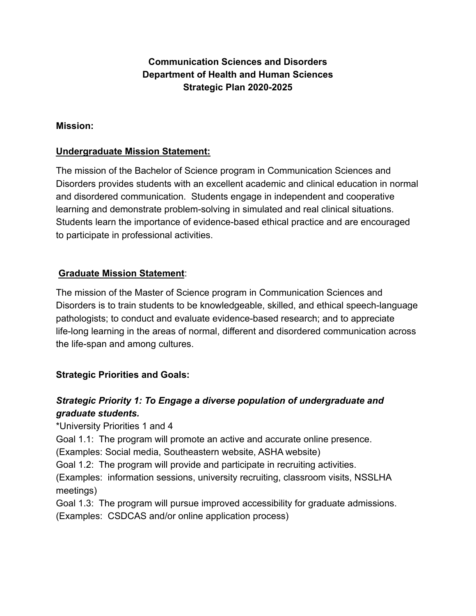## **Communication Sciences and Disorders Department of Health and Human Sciences Strategic Plan 2020-2025**

#### **Mission:**

#### **Undergraduate Mission Statement:**

The mission of the Bachelor of Science program in Communication Sciences and Disorders provides students with an excellent academic and clinical education in normal and disordered communication. Students engage in independent and cooperative learning and demonstrate problem-solving in simulated and real clinical situations. Students learn the importance of evidence-based ethical practice and are encouraged to participate in professional activities.

### **Graduate Mission Statement**:

The mission of the Master of Science program in Communication Sciences and Disorders is to train students to be knowledgeable, skilled, and ethical speech-language pathologists; to conduct and evaluate evidence-based research; and to appreciate life-long learning in the areas of normal, different and disordered communication across the life-span and among cultures.

#### **Strategic Priorities and Goals:**

## *Strategic Priority 1: To Engage a diverse population of undergraduate and graduate students.*

\*University Priorities 1 and 4

Goal 1.1: The program will promote an active and accurate online presence.

(Examples: Social media, Southeastern website, ASHA website)

Goal 1.2: The program will provide and participate in recruiting activities.

(Examples: information sessions, university recruiting, classroom visits, NSSLHA meetings)

Goal 1.3: The program will pursue improved accessibility for graduate admissions. (Examples: CSDCAS and/or online application process)